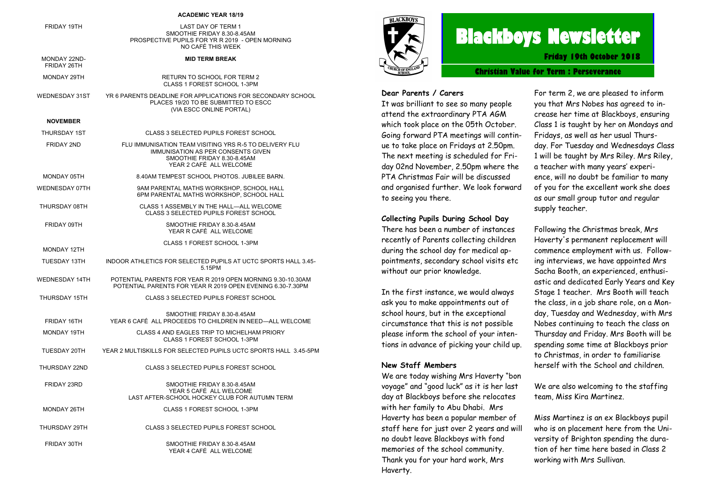#### **ACADEMIC YEAR 18/19**

| FRIDAY 19TH                        | LAST DAY OF TERM 1<br>SMOOTHIE FRIDAY 8.30-8.45AM<br>PROSPECTIVE PUPILS FOR YR R 2019 - OPEN MORNING<br>NO CAFÉ THIS WEEK                              |
|------------------------------------|--------------------------------------------------------------------------------------------------------------------------------------------------------|
| <b>MONDAY 22ND-</b><br>FRIDAY 26TH | <b>MID TERM BREAK</b>                                                                                                                                  |
| MONDAY 29TH                        | RETURN TO SCHOOL FOR TERM 2<br>CLASS 1 FOREST SCHOOL 1-3PM                                                                                             |
| WEDNESDAY 31ST                     | YR 6 PARENTS DEADLINE FOR APPLICATIONS FOR SECONDARY SCHOOL<br>PLACES 19/20 TO BE SUBMITTED TO ESCC<br>(VIA ESCC ONLINE PORTAL)                        |
| <b>NOVEMBER</b>                    |                                                                                                                                                        |
| THURSDAY 1ST                       | CLASS 3 SELECTED PUPILS FOREST SCHOOL                                                                                                                  |
| <b>FRIDAY 2ND</b>                  | FLU IMMUNISATION TEAM VISITING YRS R-5 TO DELIVERY FLU<br>IMMUNISATION AS PER CONSENTS GIVEN<br>SMOOTHIE FRIDAY 8.30-8.45AM<br>YEAR 2 CAFÉ ALL WELCOME |
| MONDAY 05TH                        | 8.40AM TEMPEST SCHOOL PHOTOS, JUBILEE BARN.                                                                                                            |
| <b>WEDNESDAY 07TH</b>              | 9AM PARENTAL MATHS WORKSHOP, SCHOOL HALL<br>6PM PARENTAL MATHS WORKSHOP, SCHOOL HALL                                                                   |
| THURSDAY 08TH                      | CLASS 1 ASSEMBLY IN THE HALL-ALL WELCOME<br><b>CLASS 3 SELECTED PUPILS FOREST SCHOOL</b>                                                               |
| FRIDAY 09TH                        | SMOOTHIE FRIDAY 8.30-8.45AM<br>YEAR R CAFÉ ALL WELCOME                                                                                                 |
| MONDAY 12TH                        | CLASS 1 FOREST SCHOOL 1-3PM                                                                                                                            |
| <b>TUESDAY 13TH</b>                | INDOOR ATHLETICS FOR SELECTED PUPILS AT UCTC SPORTS HALL 3.45-<br>5.15PM                                                                               |
| WEDNESDAY 14TH                     | POTENTIAL PARENTS FOR YEAR R 2019 OPEN MORNING 9.30-10.30AM<br>POTENTIAL PARENTS FOR YEAR R 2019 OPEN EVENING 6.30-7.30PM                              |
| THURSDAY 15TH                      | CLASS 3 SELECTED PUPILS FOREST SCHOOL                                                                                                                  |
| FRIDAY 16TH                        | SMOOTHIE FRIDAY 8.30-8.45AM<br>YEAR 6 CAFÉ ALL PROCEEDS TO CHILDREN IN NEED-ALL WELCOME                                                                |
| MONDAY 19TH                        | CLASS 4 AND EAGLES TRIP TO MICHELHAM PRIORY<br>CLASS 1 FOREST SCHOOL 1-3PM                                                                             |
| <b>TUESDAY 20TH</b>                | YEAR 2 MULTISKILLS FOR SELECTED PUPILS UCTC SPORTS HALL 3.45-5PM                                                                                       |
| THURSDAY 22ND                      | CLASS 3 SELECTED PUPILS FOREST SCHOOL                                                                                                                  |
| <b>FRIDAY 23RD</b>                 | SMOOTHIE FRIDAY 8.30-8.45AM<br>YEAR 5 CAFÉ ALL WELCOME<br>LAST AFTER-SCHOOL HOCKEY CLUB FOR AUTUMN TERM                                                |
| MONDAY 26TH                        | CLASS 1 FOREST SCHOOL 1-3PM                                                                                                                            |
| THURSDAY 29TH                      | CLASS 3 SELECTED PUPILS FOREST SCHOOL                                                                                                                  |
| FRIDAY 30TH                        | SMOOTHIE FRIDAY 8.30-8.45AM<br>YEAR 4 CAFÉ ALL WELCOME                                                                                                 |



# **Blackboys Newsletter**

**Friday 19th October 2018**

**Christian Value for Term : Perseverance**

#### **Dear Parents / Carers**

It was brilliant to see so many people attend the extraordinary PTA AGM which took place on the 05th October. Going forward PTA meetings will continue to take place on Fridays at 2.50pm. The next meeting is scheduled for Friday 02nd November, 2.50pm where the PTA Christmas Fair will be discussed and organised further. We look forward to seeing you there.

#### **Collecting Pupils During School Day**

There has been a number of instances recently of Parents collecting children during the school day for medical appointments, secondary school visits etc without our prior knowledge.

In the first instance, we would always ask you to make appointments out of school hours, but in the exceptional circumstance that this is not possible please inform the school of your intentions in advance of picking your child up.

#### **New Staff Members**

We are today wishing Mrs Haverty "bon voyage" and "good luck" as it is her last day at Blackboys before she relocates with her family to Abu Dhabi. Mrs Haverty has been a popular member of staff here for just over 2 years and will no doubt leave Blackboys with fond memories of the school community. Thank you for your hard work, Mrs Haverty.

For term 2, we are pleased to inform you that Mrs Nobes has agreed to increase her time at Blackboys, ensuring Class 1 is taught by her on Mondays and Fridays, as well as her usual Thursday. For Tuesday and Wednesdays Class 1 will be taught by Mrs Riley. Mrs Riley, a teacher with many years' experience, will no doubt be familiar to many of you for the excellent work she does as our small group tutor and regular supply teacher.

Following the Christmas break, Mrs Haverty's permanent replacement will commence employment with us. Following interviews, we have appointed Mrs Sacha Booth, an experienced, enthusiastic and dedicated Early Years and Key Stage 1 teacher. Mrs Booth will teach the class, in a job share role, on a Monday, Tuesday and Wednesday, with Mrs Nobes continuing to teach the class on Thursday and Friday. Mrs Booth will be spending some time at Blackboys prior to Christmas, in order to familiarise herself with the School and children.

We are also welcoming to the staffing team, Miss Kira Martinez.

Miss Martinez is an ex Blackboys pupil who is on placement here from the University of Brighton spending the duration of her time here based in Class 2 working with Mrs Sullivan.